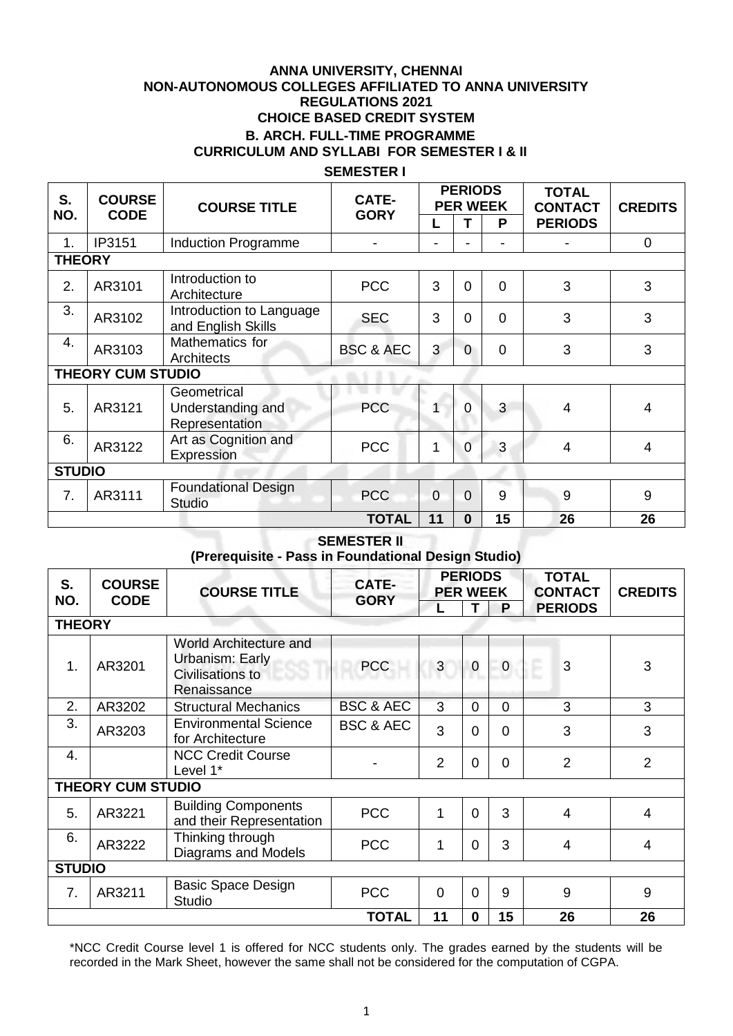# **ANNA UNIVERSITY, CHENNAI NON-AUTONOMOUS COLLEGES AFFILIATED TO ANNA UNIVERSITY REGULATIONS 2021 CHOICE BASED CREDIT SYSTEM B. ARCH. FULL-TIME PROGRAMME CURRICULUM AND SYLLABI FOR SEMESTER I & II**

### **SEMESTER I**

| S.               | <b>COURSE</b><br><b>CODE</b> | <b>COURSE TITLE</b>                                | <b>CATE-</b>         | <b>PERIODS</b><br><b>PER WEEK</b> |                |          | <b>TOTAL</b><br><b>CONTACT</b> | <b>CREDITS</b> |  |
|------------------|------------------------------|----------------------------------------------------|----------------------|-----------------------------------|----------------|----------|--------------------------------|----------------|--|
| NO.              |                              |                                                    | <b>GORY</b>          |                                   |                | P        | <b>PERIODS</b>                 |                |  |
| 1.               | IP3151                       | Induction Programme                                |                      | ۳                                 |                |          |                                | $\overline{0}$ |  |
| <b>THEORY</b>    |                              |                                                    |                      |                                   |                |          |                                |                |  |
| 2.               | AR3101                       | Introduction to<br>Architecture                    | <b>PCC</b>           | 3                                 | $\Omega$       | $\Omega$ | 3                              | 3              |  |
| 3.               | AR3102                       | Introduction to Language<br>and English Skills     | <b>SEC</b>           | 3                                 | $\Omega$       | $\Omega$ | 3                              | 3              |  |
| $\overline{4}$ . | AR3103                       | Mathematics for<br><b>Architects</b>               | <b>BSC &amp; AEC</b> | 3                                 | $\Omega$       | $\Omega$ | 3                              | 3              |  |
|                  | <b>THEORY CUM STUDIO</b>     |                                                    |                      |                                   |                |          |                                |                |  |
| 5.               | AR3121                       | Geometrical<br>Understanding and<br>Representation | <b>PCC</b>           |                                   | 0              | 3        | $\boldsymbol{4}$               | 4              |  |
| 6.               | AR3122                       | Art as Cognition and<br>Expression                 | <b>PCC</b>           | 1                                 | 0              | 3        | $\overline{4}$                 | 4              |  |
| <b>STUDIO</b>    |                              |                                                    |                      |                                   |                |          |                                |                |  |
| 7 <sub>1</sub>   | AR3111                       | <b>Foundational Design</b><br><b>Studio</b>        | <b>PCC</b>           | $\overline{0}$                    | $\overline{0}$ | 9        | 9                              | 9              |  |
|                  |                              |                                                    | <b>TOTAL</b>         | 11                                | $\bf{0}$       | 15       | 26                             | 26             |  |

#### **SEMESTER II (Prerequisite - Pass in Foundational Design Studio)**

| S.  |                                           | <b>COURSE</b><br><b>COURSE TITLE</b><br><b>CODE</b>                                 |                      | <b>PERIODS</b><br><b>PER WEEK</b> |                |                | <b>TOTAL</b><br><b>CONTACT</b> | <b>CREDITS</b> |  |
|-----|-------------------------------------------|-------------------------------------------------------------------------------------|----------------------|-----------------------------------|----------------|----------------|--------------------------------|----------------|--|
| NO. |                                           |                                                                                     | <b>GORY</b>          | L                                 |                | P              | <b>PERIODS</b>                 |                |  |
|     | <b>THEORY</b>                             |                                                                                     |                      |                                   |                |                |                                |                |  |
| 1.  | AR3201                                    | World Architecture and<br>Urbanism: Early<br>coo<br>Civilisations to<br>Renaissance | <b>PCC</b>           | 3                                 | $\pmb{0}$      | $\overline{0}$ | 3                              | 3              |  |
| 2.  | AR3202                                    | <b>Structural Mechanics</b>                                                         | <b>BSC &amp; AEC</b> | 3                                 | $\overline{0}$ | $\Omega$       | 3                              | 3              |  |
| 3.  | AR3203                                    | <b>Environmental Science</b><br>for Architecture                                    | <b>BSC &amp; AEC</b> | 3                                 | $\overline{0}$ | $\Omega$       | 3                              | 3              |  |
| 4.  |                                           | <b>NCC Credit Course</b><br>Level 1*                                                |                      | $\overline{2}$                    | $\overline{0}$ | $\Omega$       | $\overline{2}$                 | $\overline{2}$ |  |
|     | <b>THEORY CUM STUDIO</b>                  |                                                                                     |                      |                                   |                |                |                                |                |  |
| 5.  | AR3221                                    | <b>Building Components</b><br>and their Representation                              | <b>PCC</b>           | 1                                 | $\overline{0}$ | 3              | 4                              | $\overline{4}$ |  |
| 6.  | AR3222                                    | Thinking through<br>Diagrams and Models                                             | <b>PCC</b>           | $\mathbf{1}$                      | $\overline{0}$ | 3              | 4                              | $\overline{4}$ |  |
|     | <b>STUDIO</b>                             |                                                                                     |                      |                                   |                |                |                                |                |  |
| 7.  | AR3211                                    | <b>Basic Space Design</b><br><b>Studio</b>                                          | <b>PCC</b>           | 0                                 | $\overline{0}$ | 9              | 9                              | 9              |  |
|     | <b>TOTAL</b><br>11<br>15<br>26<br>0<br>26 |                                                                                     |                      |                                   |                |                |                                |                |  |

\*NCC Credit Course level 1 is offered for NCC students only. The grades earned by the students will be recorded in the Mark Sheet, however the same shall not be considered for the computation of CGPA.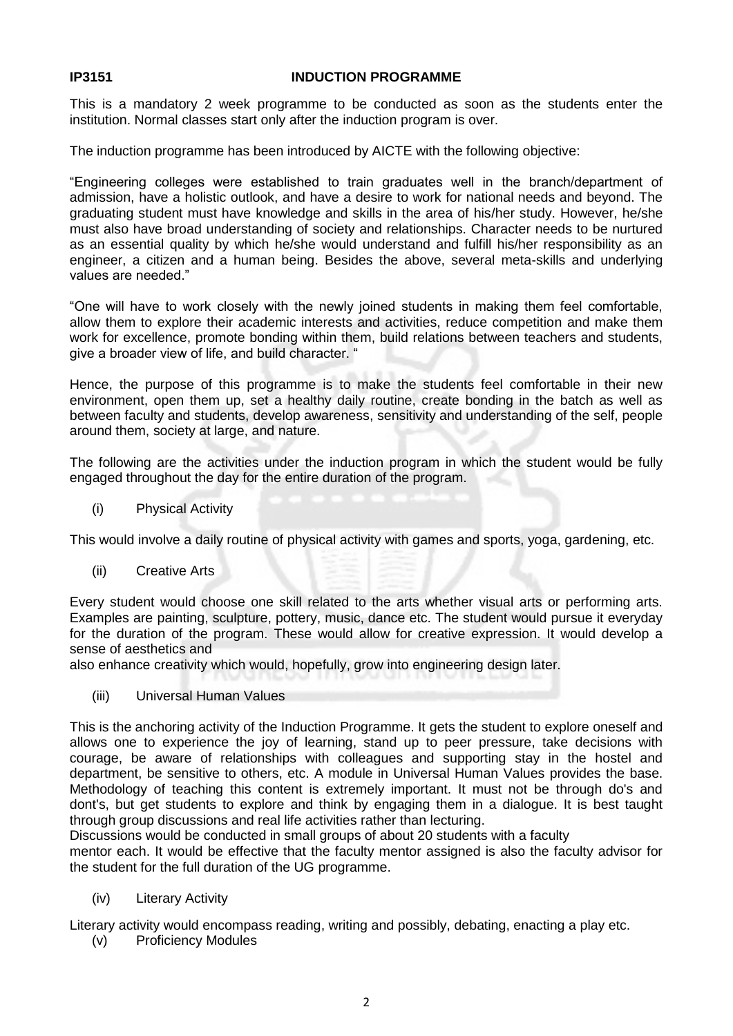### **IP3151 INDUCTION PROGRAMME**

This is a mandatory 2 week programme to be conducted as soon as the students enter the institution. Normal classes start only after the induction program is over.

The induction programme has been introduced by AICTE with the following objective:

"Engineering colleges were established to train graduates well in the branch/department of admission, have a holistic outlook, and have a desire to work for national needs and beyond. The graduating student must have knowledge and skills in the area of his/her study. However, he/she must also have broad understanding of society and relationships. Character needs to be nurtured as an essential quality by which he/she would understand and fulfill his/her responsibility as an engineer, a citizen and a human being. Besides the above, several meta-skills and underlying values are needed."

"One will have to work closely with the newly joined students in making them feel comfortable, allow them to explore their academic interests and activities, reduce competition and make them work for excellence, promote bonding within them, build relations between teachers and students, give a broader view of life, and build character. "

Hence, the purpose of this programme is to make the students feel comfortable in their new environment, open them up, set a healthy daily routine, create bonding in the batch as well as between faculty and students, develop awareness, sensitivity and understanding of the self, people around them, society at large, and nature.

The following are the activities under the induction program in which the student would be fully engaged throughout the day for the entire duration of the program.

(i) Physical Activity

This would involve a daily routine of physical activity with games and sports, yoga, gardening, etc.

(ii) Creative Arts

Every student would choose one skill related to the arts whether visual arts or performing arts. Examples are painting, sculpture, pottery, music, dance etc. The student would pursue it everyday for the duration of the program. These would allow for creative expression. It would develop a sense of aesthetics and

also enhance creativity which would, hopefully, grow into engineering design later.

(iii) Universal Human Values

This is the anchoring activity of the Induction Programme. It gets the student to explore oneself and allows one to experience the joy of learning, stand up to peer pressure, take decisions with courage, be aware of relationships with colleagues and supporting stay in the hostel and department, be sensitive to others, etc. A module in Universal Human Values provides the base. Methodology of teaching this content is extremely important. It must not be through do's and dont's, but get students to explore and think by engaging them in a dialogue. It is best taught through group discussions and real life activities rather than lecturing.

Discussions would be conducted in small groups of about 20 students with a faculty

mentor each. It would be effective that the faculty mentor assigned is also the faculty advisor for the student for the full duration of the UG programme.

(iv) Literary Activity

Literary activity would encompass reading, writing and possibly, debating, enacting a play etc.

(v) Proficiency Modules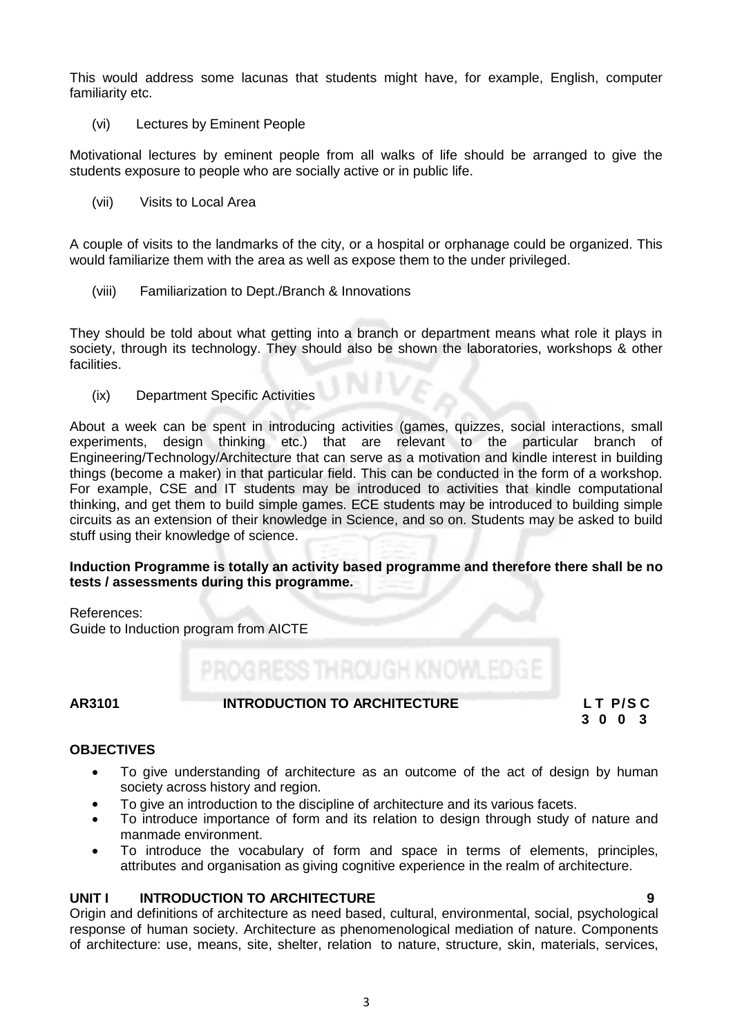This would address some lacunas that students might have, for example, English, computer familiarity etc.

(vi) Lectures by Eminent People

Motivational lectures by eminent people from all walks of life should be arranged to give the students exposure to people who are socially active or in public life.

(vii) Visits to Local Area

A couple of visits to the landmarks of the city, or a hospital or orphanage could be organized. This would familiarize them with the area as well as expose them to the under privileged.

(viii) Familiarization to Dept./Branch & Innovations

They should be told about what getting into a branch or department means what role it plays in society, through its technology. They should also be shown the laboratories, workshops & other facilities.

(ix) Department Specific Activities

About a week can be spent in introducing activities (games, quizzes, social interactions, small experiments, design thinking etc.) that are relevant to the particular branch Engineering/Technology/Architecture that can serve as a motivation and kindle interest in building things (become a maker) in that particular field. This can be conducted in the form of a workshop. For example, CSE and IT students may be introduced to activities that kindle computational thinking, and get them to build simple games. ECE students may be introduced to building simple circuits as an extension of their knowledge in Science, and so on. Students may be asked to build stuff using their knowledge of science.

#### **Induction Programme is totally an activity based programme and therefore there shall be no tests / assessments during this programme.**

References:

Guide to Induction program from AICTE

# PROGRESS THROUGH KNOWLED

# **AR3101 INTRODUCTION TO ARCHITECTURE L T P/S C**

 **3 0 0 3**

### **OBJECTIVES**

- To give understanding of architecture as an outcome of the act of design by human society across history and region.
- To give an introduction to the discipline of architecture and its various facets.
- To introduce importance of form and its relation to design through study of nature and manmade environment.
- To introduce the vocabulary of form and space in terms of elements, principles, attributes and organisation as giving cognitive experience in the realm of architecture.

### **UNIT I INTRODUCTION TO ARCHITECTURE 9**

Origin and definitions of architecture as need based, cultural, environmental, social, psychological response of human society. Architecture as phenomenological mediation of nature. Components of architecture: use, means, site, shelter, relation to nature, structure, skin, materials, services,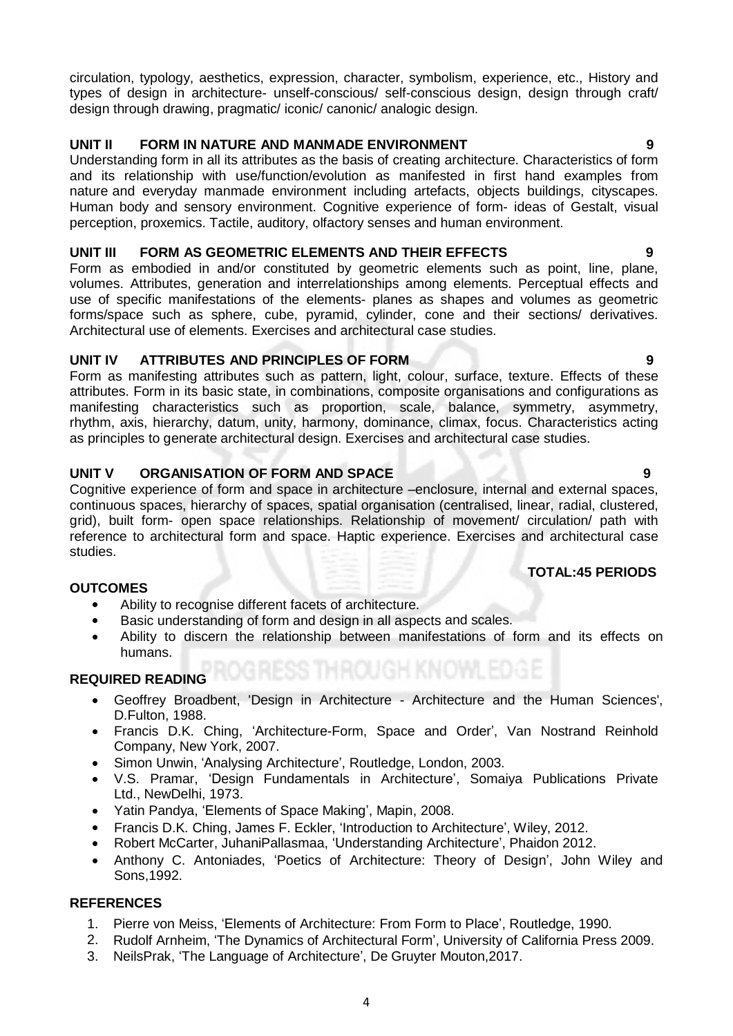circulation, typology, aesthetics, expression, character, symbolism, experience, etc., History and types of design in architecture- unself-conscious/ self-conscious design, design through craft/ design through drawing, pragmatic/ iconic/ canonic/ analogic design.

# **UNIT II FORM IN NATURE AND MANMADE ENVIRONMENT 9**

Understanding form in all its attributes as the basis of creating architecture. Characteristics of form and its relationship with use/function/evolution as manifested in first hand examples from nature and everyday manmade environment including artefacts, objects buildings, cityscapes. Human body and sensory environment. Cognitive experience of form- ideas of Gestalt, visual perception, proxemics. Tactile, auditory, olfactory senses and human environment.

### **UNIT III FORM AS GEOMETRIC ELEMENTS AND THEIR EFFECTS 9**

Form as embodied in and/or constituted by geometric elements such as point, line, plane, volumes. Attributes, generation and interrelationships among elements. Perceptual effects and use of specific manifestations of the elements- planes as shapes and volumes as geometric forms/space such as sphere, cube, pyramid, cylinder, cone and their sections/ derivatives. Architectural use of elements. Exercises and architectural case studies.

# **UNIT IV ATTRIBUTES AND PRINCIPLES OF FORM 9**

Form as manifesting attributes such as pattern, light, colour, surface, texture. Effects of these attributes. Form in its basic state, in combinations, composite organisations and configurations as manifesting characteristics such as proportion, scale, balance, symmetry, asymmetry, rhythm, axis, hierarchy, datum, unity, harmony, dominance, climax, focus. Characteristics acting as principles to generate architectural design. Exercises and architectural case studies.

# **UNIT V ORGANISATION OF FORM AND SPACE 9**

Cognitive experience of form and space in architecture –enclosure, internal and external spaces, continuous spaces, hierarchy of spaces, spatial organisation (centralised, linear, radial, clustered, grid), built form- open space relationships. Relationship of movement/ circulation/ path with reference to architectural form and space. Haptic experience. Exercises and architectural case studies.

### **TOTAL:45 PERIODS**

### **OUTCOMES**

- Ability to recognise different facets of architecture.
- Basic understanding of form and design in all aspects and scales.
- Ability to discern the relationship between manifestations of form and its effects on humans.

# **REQUIRED READING**

- Geoffrey Broadbent, 'Design in Architecture Architecture and the Human Sciences', D.Fulton, 1988.
- Francis D.K. Ching, 'Architecture-Form, Space and Order', Van Nostrand Reinhold Company, New York, 2007.
- Simon Unwin, 'Analysing Architecture', Routledge, London, 2003.<br>• V.S. Pramar. 'Design Fundamentals in Architecture' Somai
- V.S. Pramar, 'Design Fundamentals in Architecture', Somaiya Publications Private Ltd., NewDelhi, 1973.
- Yatin Pandya, 'Elements of Space Making', Mapin, 2008.
- Francis D.K. Ching, James F. Eckler, 'Introduction to Architecture', Wiley, 2012.
- Robert McCarter, JuhaniPallasmaa, 'Understanding Architecture', Phaidon 2012.
- Anthony C. Antoniades, 'Poetics of Architecture: Theory of Design', John Wiley and Sons,1992.

- 1. Pierre von Meiss, 'Elements of Architecture: From Form to Place', Routledge, 1990.
- 2. Rudolf Arnheim, 'The Dynamics of Architectural Form', University of California Press 2009.
- 3. NeilsPrak, 'The Language of Architecture', De Gruyter Mouton,2017.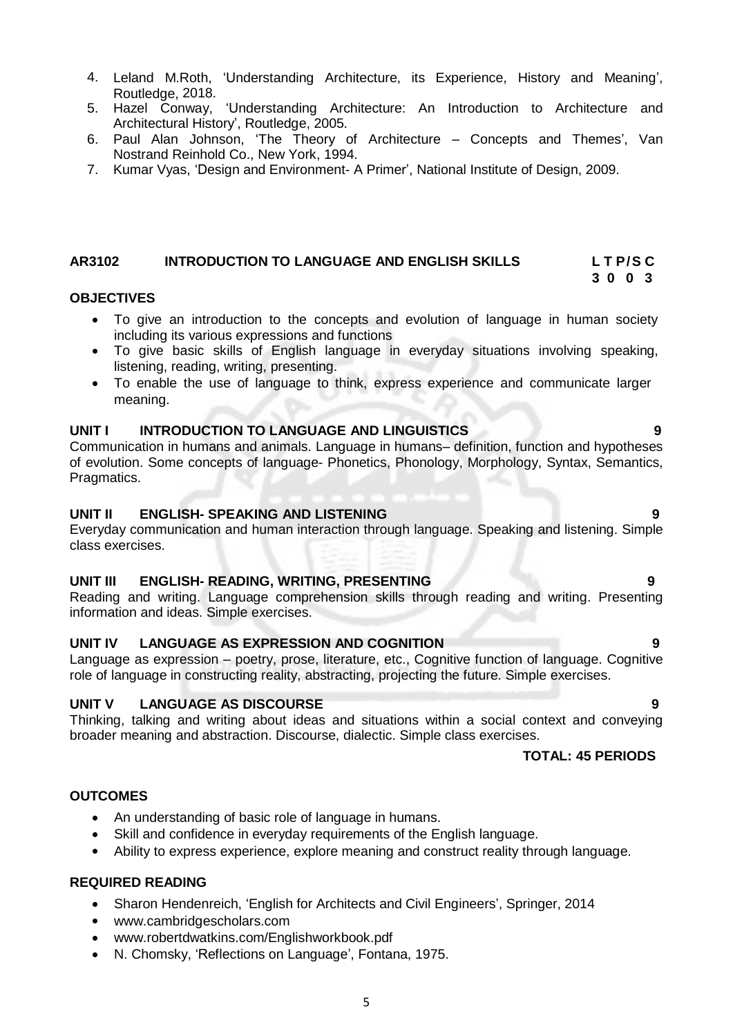- 4. Leland M.Roth, 'Understanding Architecture, its Experience, History and Meaning', Routledge, 2018.
- 5. Hazel Conway, 'Understanding Architecture: An Introduction to Architecture and Architectural History', Routledge, 2005.
- 6. Paul Alan Johnson, 'The Theory of Architecture Concepts and Themes', Van Nostrand Reinhold Co., New York, 1994.
- 7. Kumar Vyas, 'Design and Environment- A Primer', National Institute of Design, 2009.

# **AR3102 INTRODUCTION TO LANGUAGE AND ENGLISH SKILLS L T P/S C**

### **OBJECTIVES**

 To give an introduction to the concepts and evolution of language in human society including its various expressions and functions

 **3 0 0 3**

- To give basic skills of English language in everyday situations involving speaking, listening, reading, writing, presenting.
- To enable the use of language to think, express experience and communicate larger meaning.

### **UNIT I INTRODUCTION TO LANGUAGE AND LINGUISTICS 9**

Communication in humans and animals. Language in humans– definition, function and hypotheses of evolution. Some concepts of language- Phonetics, Phonology, Morphology, Syntax, Semantics, Pragmatics.

### **UNIT II ENGLISH- SPEAKING AND LISTENING 9**

Everyday communication and human interaction through language. Speaking and listening. Simple class exercises.

#### **UNIT III ENGLISH- READING, WRITING, PRESENTING 9**

Reading and writing. Language comprehension skills through reading and writing. Presenting information and ideas. Simple exercises.

### **UNIT IV LANGUAGE AS EXPRESSION AND COGNITION 9**

Language as expression – poetry, prose, literature, etc., Cognitive function of language. Cognitive role of language in constructing reality, abstracting, projecting the future. Simple exercises.

#### **UNIT V LANGUAGE AS DISCOURSE 9**

Thinking, talking and writing about ideas and situations within a social context and conveying broader meaning and abstraction. Discourse, dialectic. Simple class exercises.

#### **TOTAL: 45 PERIODS**

### **OUTCOMES**

- An understanding of basic role of language in humans.
- Skill and confidence in everyday requirements of the English language.
- Ability to express experience, explore meaning and construct reality through language.

#### **REQUIRED READING**

- Sharon Hendenreich, 'English for Architects and Civil Engineers', Springer, 2014
- [www.cambridgescholars.com](http://www.cambridgescholars.com/)
- [www.robertdwatkins.com/Englishworkbook.pdf](http://www.robertdwatkins.com/Englishworkbook.pdf)
- N. Chomsky, 'Reflections on Language', Fontana, 1975.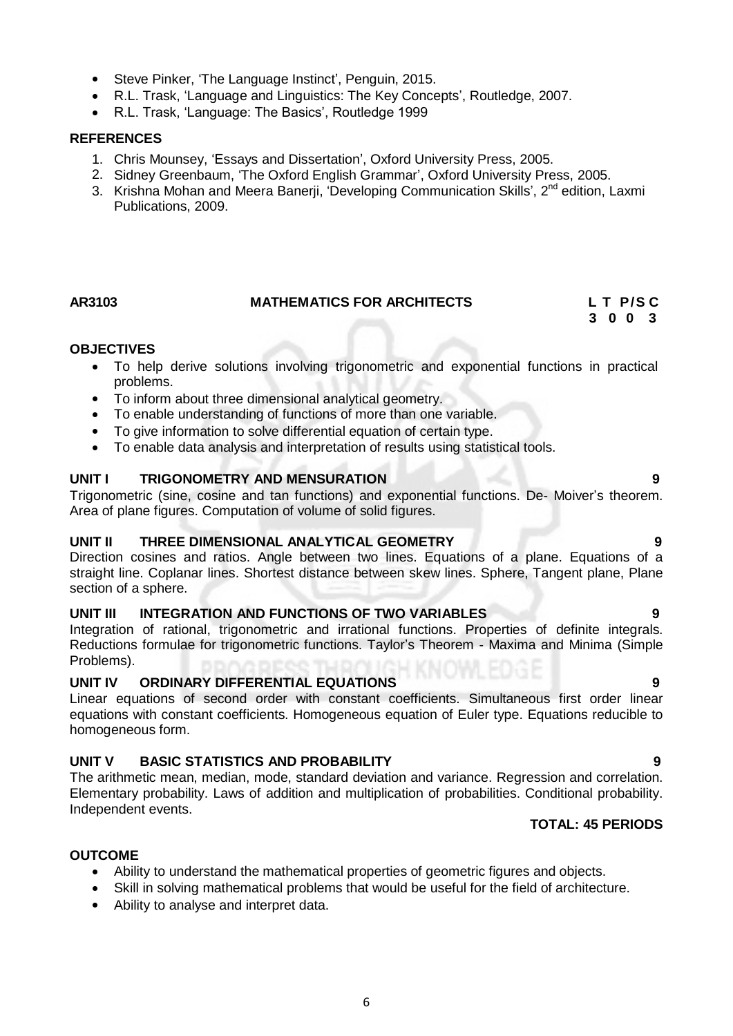6

# • Steve Pinker, 'The Language Instinct', Penguin, 2015.

- R.L. Trask, 'Language and Linguistics: The Key Concepts', Routledge, 2007.
- R.L. Trask, 'Language: The Basics', Routledge 1999

# **REFERENCES**

- 1. Chris Mounsey, 'Essays and Dissertation', Oxford University Press, 2005.
- 2. Sidney Greenbaum, 'The Oxford English Grammar', Oxford University Press, 2005.
- 3. Krishna Mohan and Meera Banerji, 'Developing Communication Skills', 2<sup>nd</sup> edition, Laxmi Publications, 2009.

# **OBJECTIVES**

- To help derive solutions involving trigonometric and exponential functions in practical problems.
- To inform about three dimensional analytical geometry.
- To enable understanding of functions of more than one variable.
- To give information to solve differential equation of certain type.
- To enable data analysis and interpretation of results using statistical tools.

# **UNIT I TRIGONOMETRY AND MENSURATION 9**

Trigonometric (sine, cosine and tan functions) and exponential functions. De- Moiver's theorem. Area of plane figures. Computation of volume of solid figures.

# **UNIT II THREE DIMENSIONAL ANALYTICAL GEOMETRY 9**

Direction cosines and ratios. Angle between two lines. Equations of a plane. Equations of a straight line. Coplanar lines. Shortest distance between skew lines. Sphere, Tangent plane, Plane section of a sphere.

# **UNIT III INTEGRATION AND FUNCTIONS OF TWO VARIABLES 9**

Integration of rational, trigonometric and irrational functions. Properties of definite integrals. Reductions formulae for trigonometric functions. Taylor's Theorem - Maxima and Minima (Simple Problems).

# **UNIT IV ORDINARY DIFFERENTIAL EQUATIONS 9**

Linear equations of second order with constant coefficients. Simultaneous first order linear equations with constant coefficients. Homogeneous equation of Euler type. Equations reducible to homogeneous form.

# **UNIT V BASIC STATISTICS AND PROBABILITY 9**

The arithmetic mean, median, mode, standard deviation and variance. Regression and correlation. Elementary probability. Laws of addition and multiplication of probabilities. Conditional probability. Independent events.

# **TOTAL: 45 PERIODS**

# **OUTCOME**

- Ability to understand the mathematical properties of geometric figures and objects.
- Skill in solving mathematical problems that would be useful for the field of architecture.
- Ability to analyse and interpret data.

# AR3103 MATHEMATICS FOR ARCHITECTS L T P/S C<br>3 0 0 3  **3 0 0 3**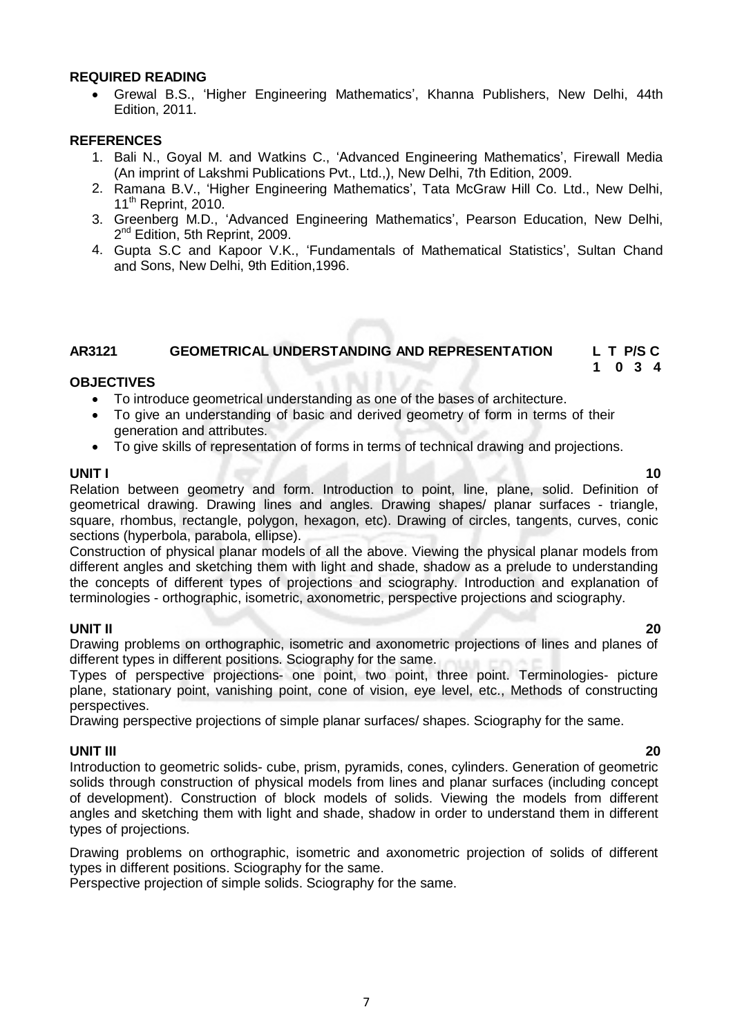#### **REQUIRED READING**

 Grewal B.S., 'Higher Engineering Mathematics', Khanna Publishers, New Delhi, 44th Edition, 2011.

#### **REFERENCES**

- 1. Bali N., Goyal M. and Watkins C., 'Advanced Engineering Mathematics', Firewall Media (An imprint of Lakshmi Publications Pvt., Ltd.,), New Delhi, 7th Edition, 2009.
- 2. Ramana B.V., 'Higher Engineering Mathematics', Tata McGraw Hill Co. Ltd., New Delhi, 11<sup>th</sup> Reprint, 2010.
- 3. Greenberg M.D., 'Advanced Engineering Mathematics', Pearson Education, New Delhi, 2<sup>nd</sup> Edition, 5th Reprint, 2009.
- 4. Gupta S.C and Kapoor V.K., 'Fundamentals of Mathematical Statistics', Sultan Chand and Sons, New Delhi, 9th Edition,1996.

### **AR3121 GEOMETRICAL UNDERSTANDING AND REPRESENTATION L T P/S C 1 0 3 4**

#### **OBJECTIVES**

- To introduce geometrical understanding as one of the bases of architecture.
- To give an understanding of basic and derived geometry of form in terms of their generation and attributes.
- To give skills of representation of forms in terms of technical drawing and projections.

# **UNIT I 10**

Relation between geometry and form. Introduction to point, line, plane, solid. Definition of geometrical drawing. Drawing lines and angles. Drawing shapes/ planar surfaces - triangle, square, rhombus, rectangle, polygon, hexagon, etc). Drawing of circles, tangents, curves, conic sections (hyperbola, parabola, ellipse).

Construction of physical planar models of all the above. Viewing the physical planar models from different angles and sketching them with light and shade, shadow as a prelude to understanding the concepts of different types of projections and sciography. Introduction and explanation of terminologies - orthographic, isometric, axonometric, perspective projections and sciography.

### **UNIT II 20**

Drawing problems on orthographic, isometric and axonometric projections of lines and planes of different types in different positions. Sciography for the same.

Types of perspective projections- one point, two point, three point. Terminologies- picture plane, stationary point, vanishing point, cone of vision, eye level, etc., Methods of constructing perspectives.

Drawing perspective projections of simple planar surfaces/ shapes. Sciography for the same.

### **UNIT III 20**

Introduction to geometric solids- cube, prism, pyramids, cones, cylinders. Generation of geometric solids through construction of physical models from lines and planar surfaces (including concept of development). Construction of block models of solids. Viewing the models from different angles and sketching them with light and shade, shadow in order to understand them in different types of projections.

Drawing problems on orthographic, isometric and axonometric projection of solids of different types in different positions. Sciography for the same.

Perspective projection of simple solids. Sciography for the same.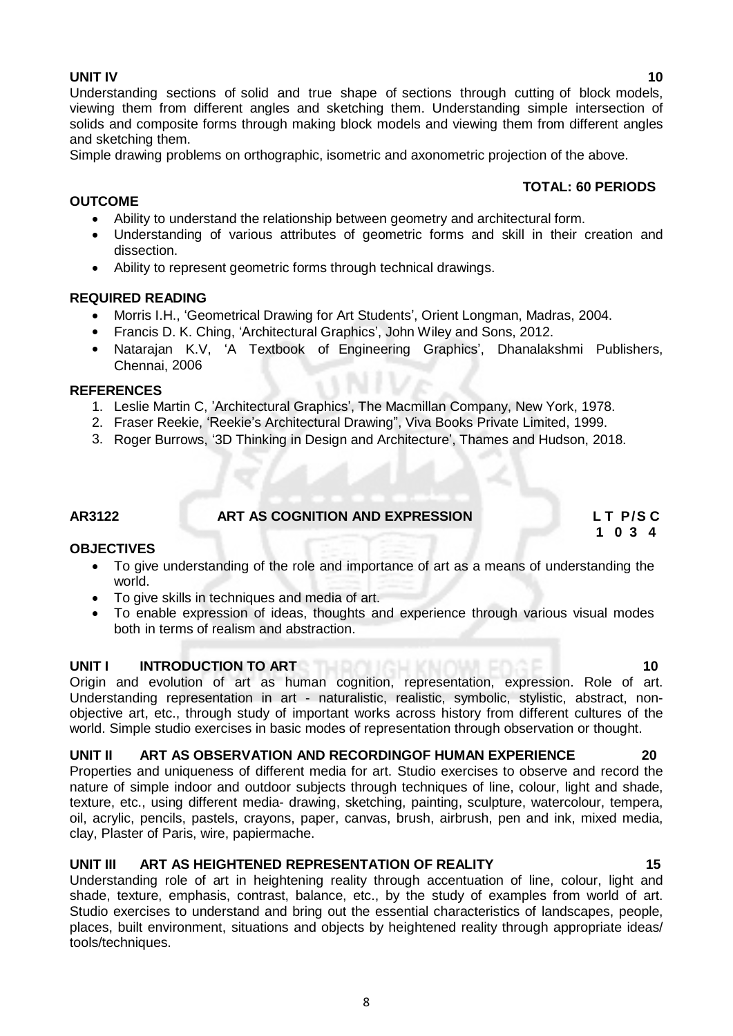Understanding sections of solid and true shape of sections through cutting of block models, viewing them from different angles and sketching them. Understanding simple intersection of solids and composite forms through making block models and viewing them from different angles and sketching them.

Simple drawing problems on orthographic, isometric and axonometric projection of the above.

#### **TOTAL: 60 PERIODS**

- Ability to understand the relationship between geometry and architectural form.
- Understanding of various attributes of geometric forms and skill in their creation and dissection.
- Ability to represent geometric forms through technical drawings.

#### **REQUIRED READING**

- Morris I.H., 'Geometrical Drawing for Art Students', Orient Longman, Madras, 2004.
- Francis D. K. Ching, 'Architectural Graphics', John Wiley and Sons, 2012.
- Natarajan K.V, 'A Textbook of Engineering Graphics', Dhanalakshmi Publishers, Chennai, 2006

#### **REFERENCES**

**OUTCOME**

- 1. Leslie Martin C, 'Architectural Graphics', The Macmillan Company, New York, 1978.
- 2. Fraser Reekie, 'Reekie's Architectural Drawing", Viva Books Private Limited, 1999.
- 3. Roger Burrows, '3D Thinking in Design and Architecture', Thames and Hudson, 2018.

**AR3122 ART AS COGNITION AND EXPRESSION L T P/S C**

 **1 0 3 4**

#### **OBJECTIVES**

- To give understanding of the role and importance of art as a means of understanding the world.
- To give skills in techniques and media of art.<br>• To enable expression of ideas, thoughts are
- To enable expression of ideas, thoughts and experience through various visual modes both in terms of realism and abstraction.

#### **UNIT I INTRODUCTION TO ART 100 PM TO 100 PM TO 100 PM TO 100 PM TO 100 PM TO 100 PM TO 100 PM TO 100 PM TO 100**

Origin and evolution of art as human cognition, representation, expression. Role of art. Understanding representation in art - naturalistic, realistic, symbolic, stylistic, abstract, nonobjective art, etc., through study of important works across history from different cultures of the world. Simple studio exercises in basic modes of representation through observation or thought.

#### **UNIT II ART AS OBSERVATION AND RECORDINGOF HUMAN EXPERIENCE 20**

Properties and uniqueness of different media for art. Studio exercises to observe and record the nature of simple indoor and outdoor subjects through techniques of line, colour, light and shade, texture, etc., using different media- drawing, sketching, painting, sculpture, watercolour, tempera, oil, acrylic, pencils, pastels, crayons, paper, canvas, brush, airbrush, pen and ink, mixed media, clay, Plaster of Paris, wire, papiermache.

#### **UNIT III ART AS HEIGHTENED REPRESENTATION OF REALITY 15**

Understanding role of art in heightening reality through accentuation of line, colour, light and shade, texture, emphasis, contrast, balance, etc., by the study of examples from world of art. Studio exercises to understand and bring out the essential characteristics of landscapes, people, places, built environment, situations and objects by heightened reality through appropriate ideas/ tools/techniques.

**UNIT IV 10**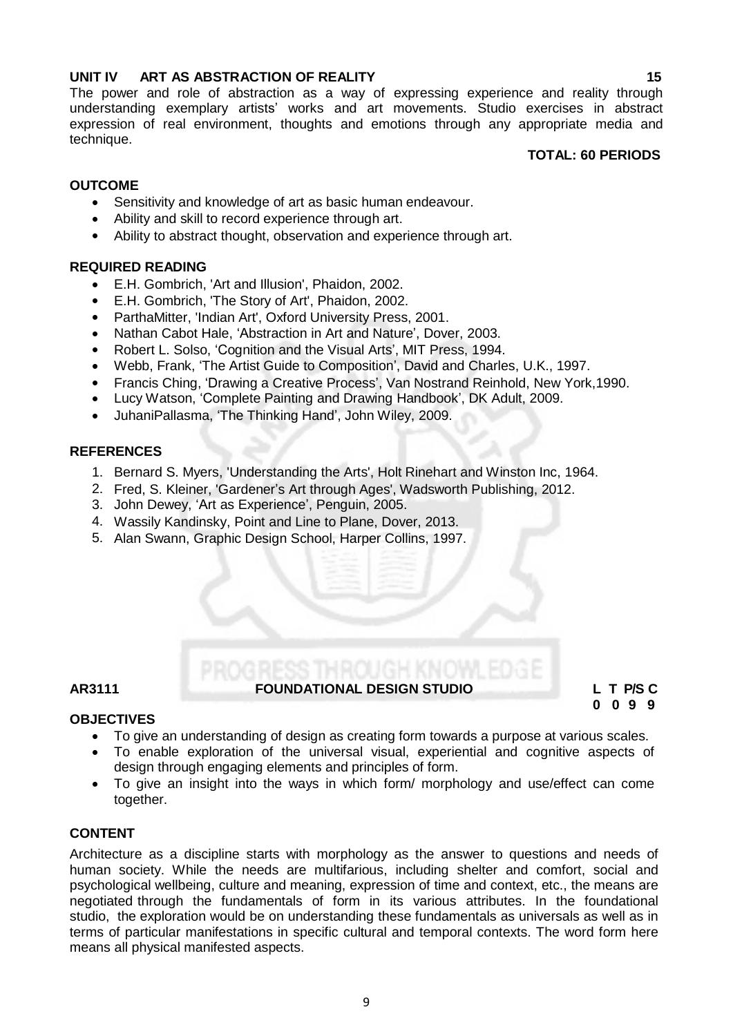### **UNIT IV ART AS ABSTRACTION OF REALITY 15**

The power and role of abstraction as a way of expressing experience and reality through understanding exemplary artists' works and art movements. Studio exercises in abstract expression of real environment, thoughts and emotions through any appropriate media and technique.

#### **TOTAL: 60 PERIODS**

# **OUTCOME**

- Sensitivity and knowledge of art as basic human endeavour.
- Ability and skill to record experience through art.
- Ability to abstract thought, observation and experience through art.

#### **REQUIRED READING**

- E.H. Gombrich, 'Art and Illusion', Phaidon, 2002.
- E.H. Gombrich, 'The Story of Art', Phaidon, 2002.
- ParthaMitter, 'Indian Art', Oxford University Press, 2001.
- Nathan Cabot Hale, 'Abstraction in Art and Nature', Dover, 2003.
- Robert L. Solso, 'Cognition and the Visual Arts', MIT Press, 1994.
- Webb, Frank, 'The Artist Guide to Composition', David and Charles, U.K., 1997.
- Francis Ching, 'Drawing a Creative Process', Van Nostrand Reinhold, New York,1990.
- Lucy Watson, 'Complete Painting and Drawing Handbook', DK Adult, 2009.
- JuhaniPallasma, 'The Thinking Hand', John Wiley, 2009.

#### **REFERENCES**

- 1. Bernard S. Myers, 'Understanding the Arts', Holt Rinehart and Winston Inc, 1964.
- 2. Fred, S. Kleiner, 'Gardener's Art through Ages', Wadsworth Publishing, 2012.
- 3. John Dewey, 'Art as Experience', Penguin, 2005.
- 4. Wassily Kandinsky, Point and Line to Plane, Dover, 2013.
- 5. Alan Swann, Graphic Design School, Harper Collins, 1997.

### **AR3111 FOUNDATIONAL DESIGN STUDIO L T P/S C**

 **0 0 9 9**

#### **OBJECTIVES**

- To give an understanding of design as creating form towards a purpose at various scales.
- To enable exploration of the universal visual, experiential and cognitive aspects of design through engaging elements and principles of form.
- To give an insight into the ways in which form/ morphology and use/effect can come together.

### **CONTENT**

Architecture as a discipline starts with morphology as the answer to questions and needs of human society. While the needs are multifarious, including shelter and comfort, social and psychological wellbeing, culture and meaning, expression of time and context, etc., the means are negotiated through the fundamentals of form in its various attributes. In the foundational studio, the exploration would be on understanding these fundamentals as universals as well as in terms of particular manifestations in specific cultural and temporal contexts. The word form here means all physical manifested aspects.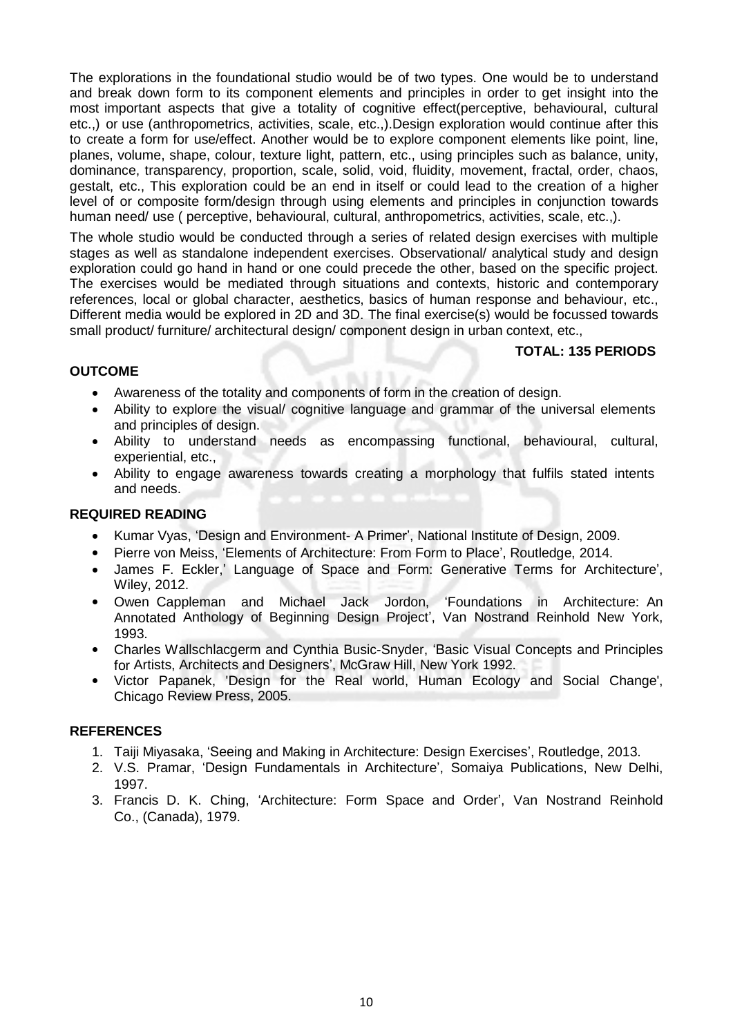The explorations in the foundational studio would be of two types. One would be to understand and break down form to its component elements and principles in order to get insight into the most important aspects that give a totality of cognitive effect(perceptive, behavioural, cultural etc.,) or use (anthropometrics, activities, scale, etc.,).Design exploration would continue after this to create a form for use/effect. Another would be to explore component elements like point, line, planes, volume, shape, colour, texture light, pattern, etc., using principles such as balance, unity, dominance, transparency, proportion, scale, solid, void, fluidity, movement, fractal, order, chaos, gestalt, etc., This exploration could be an end in itself or could lead to the creation of a higher level of or composite form/design through using elements and principles in conjunction towards human need/ use ( perceptive, behavioural, cultural, anthropometrics, activities, scale, etc.,).

The whole studio would be conducted through a series of related design exercises with multiple stages as well as standalone independent exercises. Observational/ analytical study and design exploration could go hand in hand or one could precede the other, based on the specific project. The exercises would be mediated through situations and contexts, historic and contemporary references, local or global character, aesthetics, basics of human response and behaviour, etc., Different media would be explored in 2D and 3D. The final exercise(s) would be focussed towards small product/ furniture/ architectural design/ component design in urban context, etc.,

#### **TOTAL: 135 PERIODS**

#### **OUTCOME**

- Awareness of the totality and components of form in the creation of design.
- Ability to explore the visual/ cognitive language and grammar of the universal elements and principles of design.
- Ability to understand needs as encompassing functional, behavioural, cultural, experiential, etc.,
- Ability to engage awareness towards creating a morphology that fulfils stated intents and needs.

#### **REQUIRED READING**

- Kumar Vyas, 'Design and Environment- A Primer', National Institute of Design, 2009.
- Pierre von Meiss, 'Elements of Architecture: From Form to Place', Routledge, 2014.
- James F. Eckler,' Language of Space and Form: Generative Terms for Architecture', Wiley, 2012.
- Owen Cappleman and Michael Jack Jordon, 'Foundations in Architecture: An Annotated Anthology of Beginning Design Project', Van Nostrand Reinhold New York, 1993.
- Charles Wallschlacgerm and Cynthia Busic-Snyder, 'Basic Visual Concepts and Principles for Artists, Architects and Designers', McGraw Hill, New York 1992.
- Victor Papanek, 'Design for the Real world, Human Ecology and Social Change', Chicago Review Press, 2005.

- 1. Taiji Miyasaka, 'Seeing and Making in Architecture: Design Exercises', Routledge, 2013.
- 2. V.S. Pramar, 'Design Fundamentals in Architecture', Somaiya Publications, New Delhi, 1997.
- 3. Francis D. K. Ching, 'Architecture: Form Space and Order', Van Nostrand Reinhold Co., (Canada), 1979.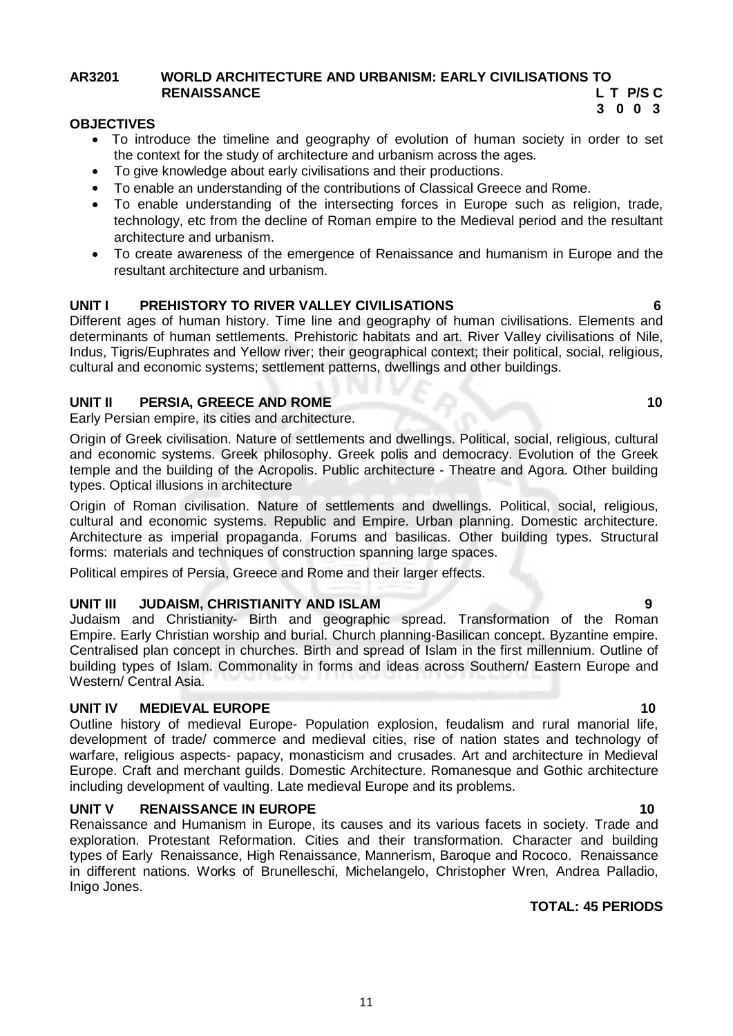### **AR3201 WORLD ARCHITECTURE AND URBANISM: EARLY CIVILISATIONS TO RENAISSANCE L T P/S C**

#### **3 0 0 3 OBJECTIVES**

- To introduce the timeline and geography of evolution of human society in order to set the context for the study of architecture and urbanism across the ages.
- To give knowledge about early civilisations and their productions.
- To enable an understanding of the contributions of Classical Greece and Rome.
- To enable understanding of the intersecting forces in Europe such as religion, trade, technology, etc from the decline of Roman empire to the Medieval period and the resultant architecture and urbanism.
- To create awareness of the emergence of Renaissance and humanism in Europe and the resultant architecture and urbanism.

### **UNIT I PREHISTORY TO RIVER VALLEY CIVILISATIONS 6**

Different ages of human history. Time line and geography of human civilisations. Elements and determinants of human settlements. Prehistoric habitats and art. River Valley civilisations of Nile, Indus, Tigris/Euphrates and Yellow river; their geographical context; their political, social, religious, cultural and economic systems; settlement patterns, dwellings and other buildings.

#### **UNIT II PERSIA, GREECE AND ROME 10**

Early Persian empire, its cities and architecture.

Origin of Greek civilisation. Nature of settlements and dwellings. Political, social, religious, cultural and economic systems. Greek philosophy. Greek polis and democracy. Evolution of the Greek temple and the building of the Acropolis. Public architecture - Theatre and Agora. Other building types. Optical illusions in architecture

Origin of Roman civilisation. Nature of settlements and dwellings. Political, social, religious, cultural and economic systems. Republic and Empire. Urban planning. Domestic architecture. Architecture as imperial propaganda. Forums and basilicas. Other building types. Structural forms: materials and techniques of construction spanning large spaces.

Political empires of Persia, Greece and Rome and their larger effects.

#### **UNIT III JUDAISM, CHRISTIANITY AND ISLAM 9**

Judaism and Christianity- Birth and geographic spread. Transformation of the Roman Empire. Early Christian worship and burial. Church planning-Basilican concept. Byzantine empire. Centralised plan concept in churches. Birth and spread of Islam in the first millennium. Outline of building types of Islam. Commonality in forms and ideas across Southern/ Eastern Europe and Western/ Central Asia.

#### **UNIT IV MEDIEVAL EUROPE 10** 10

Outline history of medieval Europe- Population explosion, feudalism and rural manorial life, development of trade/ commerce and medieval cities, rise of nation states and technology of warfare, religious aspects- papacy, monasticism and crusades. Art and architecture in Medieval Europe. Craft and merchant guilds. Domestic Architecture. Romanesque and Gothic architecture including development of vaulting. Late medieval Europe and its problems.

#### **UNIT V RENAISSANCE IN EUROPE 10 10 10**

Renaissance and Humanism in Europe, its causes and its various facets in society. Trade and exploration. Protestant Reformation. Cities and their transformation. Character and building types of Early Renaissance, High Renaissance, Mannerism, Baroque and Rococo. Renaissance in different nations. Works of Brunelleschi, Michelangelo, Christopher Wren, Andrea Palladio, Inigo Jones.

#### **TOTAL: 45 PERIODS**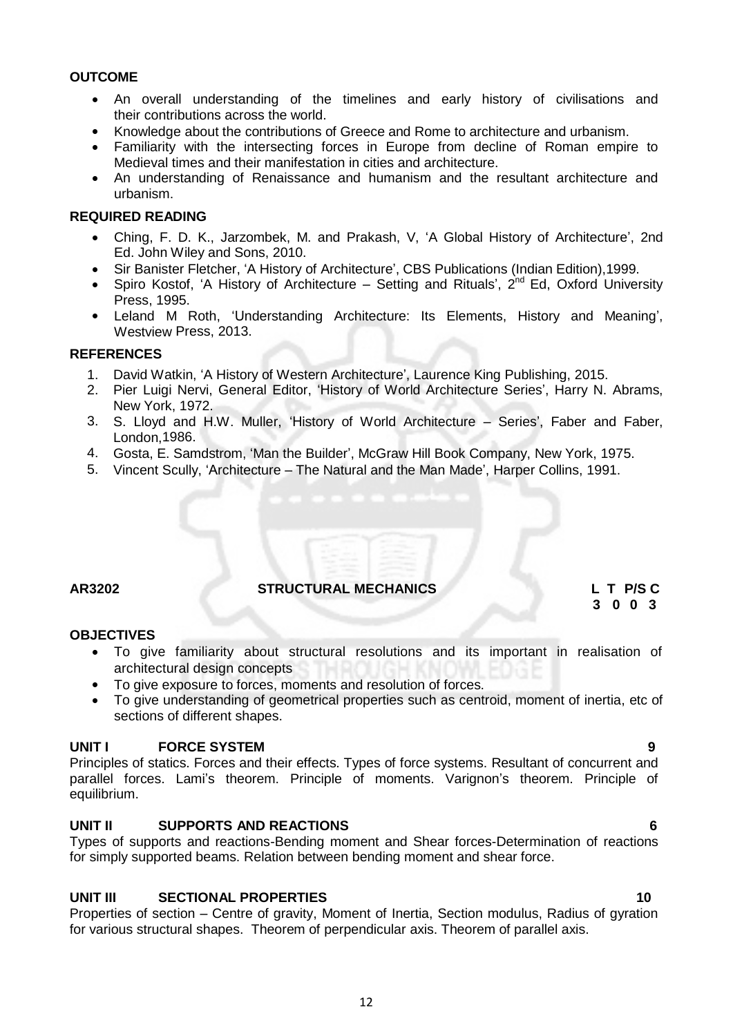#### **OUTCOME**

- An overall understanding of the timelines and early history of civilisations and their contributions across the world.
- Knowledge about the contributions of Greece and Rome to architecture and urbanism.
- Familiarity with the intersecting forces in Europe from decline of Roman empire to Medieval times and their manifestation in cities and architecture.
- An understanding of Renaissance and humanism and the resultant architecture and urbanism.

#### **REQUIRED READING**

- Ching, F. D. K., Jarzombek, M. and Prakash, V, 'A Global History of Architecture', 2nd Ed. John Wiley and Sons, 2010.
- Sir Banister Fletcher, 'A History of Architecture', CBS Publications (Indian Edition),1999.
- Spiro Kostof, 'A History of Architecture Setting and Rituals', 2<sup>nd</sup> Ed, Oxford University Press, 1995.
- Leland M Roth, 'Understanding Architecture: Its Elements, History and Meaning', Westview Press, 2013.

#### **REFERENCES**

- 1. David Watkin, 'A History of Western Architecture', Laurence King Publishing, 2015.
- 2. Pier Luigi Nervi, General Editor, 'History of World Architecture Series', Harry N. Abrams, New York, 1972.
- 3. S. Lloyd and H.W. Muller, 'History of World Architecture Series', Faber and Faber, London,1986.
- 4. Gosta, E. Samdstrom, 'Man the Builder', McGraw Hill Book Company, New York, 1975.
- 5. Vincent Scully, 'Architecture The Natural and the Man Made', Harper Collins, 1991.

# **AR3202 STRUCTURAL MECHANICS L T P/S C**

# **3 0 0 3**

### **OBJECTIVES**

- To give familiarity about structural resolutions and its important in realisation of architectural design concepts
- To give exposure to forces, moments and resolution of forces.
- To give understanding of geometrical properties such as centroid, moment of inertia, etc of sections of different shapes.

### **UNIT I** FORCE SYSTEM **9**

Principles of statics. Forces and their effects. Types of force systems. Resultant of concurrent and parallel forces. Lami's theorem. Principle of moments. Varignon's theorem. Principle of equilibrium.

### **UNIT II SUPPORTS AND REACTIONS 6**

Types of supports and reactions-Bending moment and Shear forces-Determination of reactions for simply supported beams. Relation between bending moment and shear force.

### **UNIT III SECTIONAL PROPERTIES 10**

Properties of section – Centre of gravity, Moment of Inertia, Section modulus, Radius of gyration for various structural shapes. Theorem of perpendicular axis. Theorem of parallel axis.

12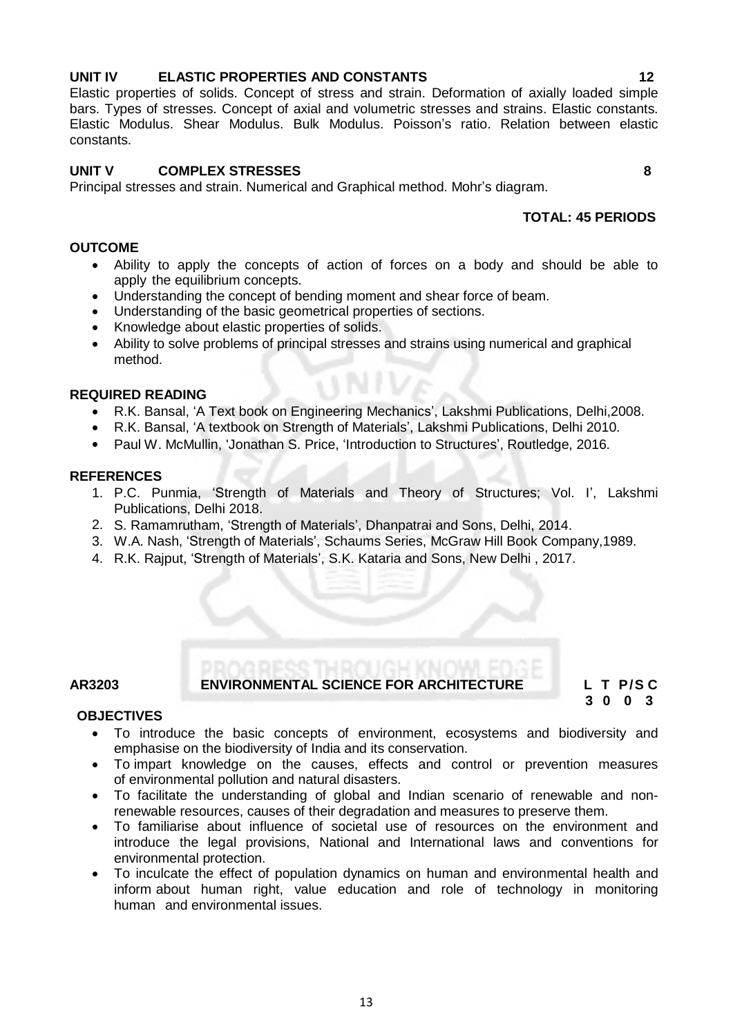#### **UNIT IV ELASTIC PROPERTIES AND CONSTANTS 12** Elastic properties of solids. Concept of stress and strain. Deformation of axially loaded simple

# **UNIT V COMPLEX STRESSES 8**

Principal stresses and strain. Numerical and Graphical method. Mohr's diagram.

# **TOTAL: 45 PERIODS**

# **OUTCOME**

constants.

 Ability to apply the concepts of action of forces on a body and should be able to apply the equilibrium concepts.

bars. Types of stresses. Concept of axial and volumetric stresses and strains. Elastic constants. Elastic Modulus. Shear Modulus. Bulk Modulus. Poisson's ratio. Relation between elastic

- Understanding the concept of bending moment and shear force of beam.
- Understanding of the basic geometrical properties of sections.
- Knowledge about elastic properties of solids.
- Ability to solve problems of principal stresses and strains using numerical and graphical method.

# **REQUIRED READING**

- R.K. Bansal, 'A Text book on Engineering Mechanics', Lakshmi Publications, Delhi, 2008.<br>• R.K. Bansal, 'A textbook on Strength of Materials' Lakshmi Publications, Delhi 2010.
- R.K. Bansal, 'A textbook on Strength of Materials', Lakshmi Publications, Delhi 2010.
- Paul W. McMullin, 'Jonathan S. Price, 'Introduction to Structures', Routledge, 2016.

# **REFERENCES**

- 1. P.C. Punmia, 'Strength of Materials and Theory of Structures; Vol. I', Lakshmi Publications, Delhi 2018.
- 2. S. Ramamrutham, 'Strength of Materials', Dhanpatrai and Sons, Delhi, 2014.
- 3. W.A. Nash, 'Strength of Materials', Schaums Series, McGraw Hill Book Company,1989.
- 4. R.K. Rajput, 'Strength of Materials', S.K. Kataria and Sons, New Delhi , 2017.

# **AR3203 ENVIRONMENTAL SCIENCE FOR ARCHITECTURE L T P/S C**

 **3 0 0 3**

# **OBJECTIVES**

- To introduce the basic concepts of environment, ecosystems and biodiversity and emphasise on the biodiversity of India and its conservation.
- To impart knowledge on the causes, effects and control or prevention measures of environmental pollution and natural disasters.
- To facilitate the understanding of global and Indian scenario of renewable and nonrenewable resources, causes of their degradation and measures to preserve them.
- To familiarise about influence of societal use of resources on the environment and introduce the legal provisions, National and International laws and conventions for environmental protection.
- To inculcate the effect of population dynamics on human and environmental health and inform about human right, value education and role of technology in monitoring human and environmental issues.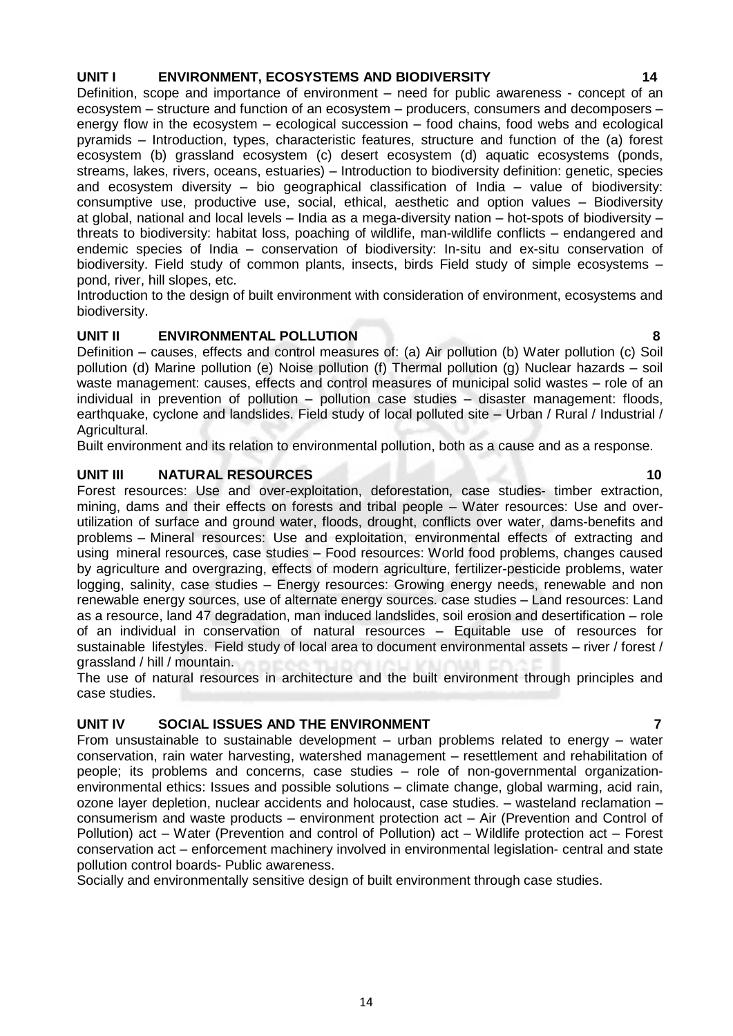#### **UNIT I ENVIRONMENT, ECOSYSTEMS AND BIODIVERSITY 14**

Definition, scope and importance of environment – need for public awareness - concept of an ecosystem – structure and function of an ecosystem – producers, consumers and decomposers – energy flow in the ecosystem – ecological succession – food chains, food webs and ecological pyramids – Introduction, types, characteristic features, structure and function of the (a) forest ecosystem (b) grassland ecosystem (c) desert ecosystem (d) aquatic ecosystems (ponds, streams, lakes, rivers, oceans, estuaries) – Introduction to biodiversity definition: genetic, species and ecosystem diversity – bio geographical classification of India – value of biodiversity: consumptive use, productive use, social, ethical, aesthetic and option values – Biodiversity at global, national and local levels – India as a mega-diversity nation – hot-spots of biodiversity – threats to biodiversity: habitat loss, poaching of wildlife, man-wildlife conflicts – endangered and endemic species of India – conservation of biodiversity: In-situ and ex-situ conservation of biodiversity. Field study of common plants, insects, birds Field study of simple ecosystems – pond, river, hill slopes, etc.

Introduction to the design of built environment with consideration of environment, ecosystems and biodiversity.

### **UNIT II ENVIRONMENTAL POLLUTION 8**

Definition – causes, effects and control measures of: (a) Air pollution (b) Water pollution (c) Soil pollution (d) Marine pollution (e) Noise pollution (f) Thermal pollution (g) Nuclear hazards – soil waste management: causes, effects and control measures of municipal solid wastes – role of an individual in prevention of pollution – pollution case studies – disaster management: floods, earthquake, cyclone and landslides. Field study of local polluted site – Urban / Rural / Industrial / Agricultural.

Built environment and its relation to environmental pollution, both as a cause and as a response.

### **UNIT III NATURAL RESOURCES 10**

Forest resources: Use and over-exploitation, deforestation, case studies- timber extraction, mining, dams and their effects on forests and tribal people – Water resources: Use and overutilization of surface and ground water, floods, drought, conflicts over water, dams-benefits and problems – Mineral resources: Use and exploitation, environmental effects of extracting and using mineral resources, case studies – Food resources: World food problems, changes caused by agriculture and overgrazing, effects of modern agriculture, fertilizer-pesticide problems, water logging, salinity, case studies – Energy resources: Growing energy needs, renewable and non renewable energy sources, use of alternate energy sources. case studies – Land resources: Land as a resource, land 47 degradation, man induced landslides, soil erosion and desertification – role of an individual in conservation of natural resources – Equitable use of resources for sustainable lifestyles. Field study of local area to document environmental assets – river / forest / grassland / hill / mountain.

The use of natural resources in architecture and the built environment through principles and case studies.

# **UNIT IV SOCIAL ISSUES AND THE ENVIRONMENT 7**

From unsustainable to sustainable development – urban problems related to energy – water conservation, rain water harvesting, watershed management – resettlement and rehabilitation of people; its problems and concerns, case studies – role of non-governmental organizationenvironmental ethics: Issues and possible solutions – climate change, global warming, acid rain, ozone layer depletion, nuclear accidents and holocaust, case studies. – wasteland reclamation – consumerism and waste products – environment protection act – Air (Prevention and Control of Pollution) act – Water (Prevention and control of Pollution) act – Wildlife protection act – Forest conservation act – enforcement machinery involved in environmental legislation- central and state pollution control boards- Public awareness.

Socially and environmentally sensitive design of built environment through case studies.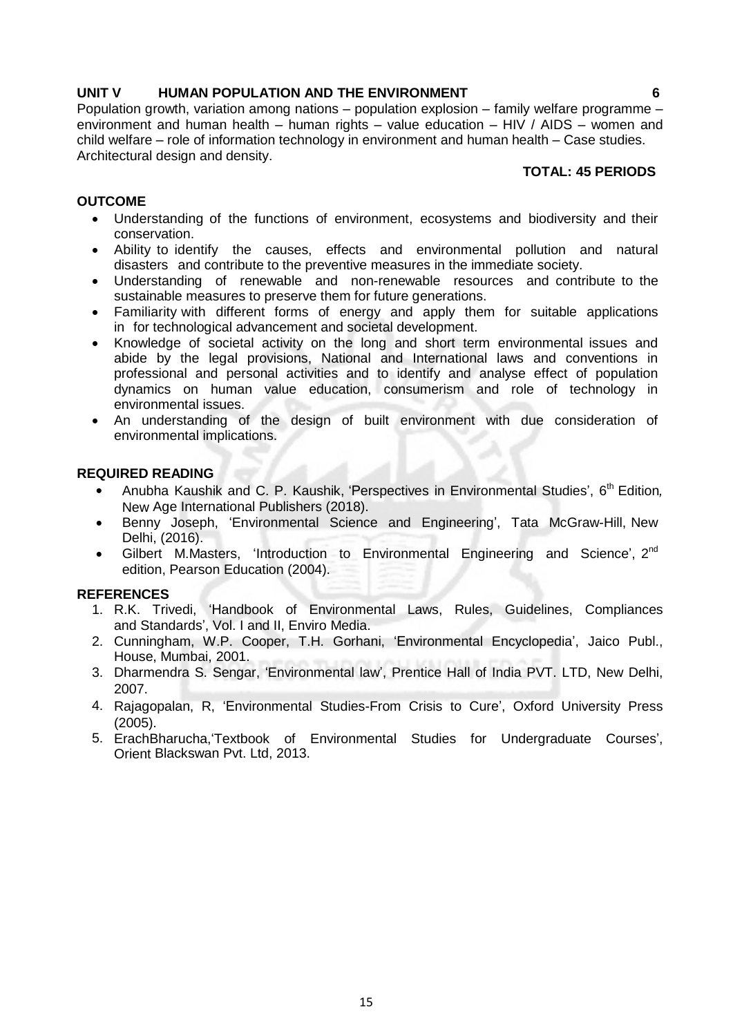### **UNIT V HUMAN POPULATION AND THE ENVIRONMENT 6**

Population growth, variation among nations – population explosion – family welfare programme – environment and human health – human rights – value education – HIV / AIDS – women and child welfare – role of information technology in environment and human health – Case studies. Architectural design and density.

# **TOTAL: 45 PERIODS**

# **OUTCOME**

- Understanding of the functions of environment, ecosystems and biodiversity and their conservation.
- Ability to identify the causes, effects and environmental pollution and natural disasters and contribute to the preventive measures in the immediate society.
- Understanding of renewable and non-renewable resources and contribute to the sustainable measures to preserve them for future generations.
- Familiarity with different forms of energy and apply them for suitable applications in for technological advancement and societal development.
- Knowledge of societal activity on the long and short term environmental issues and abide by the legal provisions, National and International laws and conventions in professional and personal activities and to identify and analyse effect of population dynamics on human value education, consumerism and role of technology in environmental issues.
- An understanding of the design of built environment with due consideration of environmental implications.

#### **REQUIRED READING**

- Anubha Kaushik and C. P. Kaushik, 'Perspectives in Environmental Studies', 6<sup>th</sup> Edition, New Age International Publishers (2018).
- Benny Joseph, 'Environmental Science and Engineering', Tata McGraw-Hill, New Delhi, (2016).
- Gilbert M.Masters, 'Introduction to Environmental Engineering and Science',  $2^{nd}$ edition, Pearson Education (2004).

- 1. R.K. Trivedi, 'Handbook of Environmental Laws, Rules, Guidelines, Compliances and Standards', Vol. I and II, Enviro Media.
- 2. Cunningham, W.P. Cooper, T.H. Gorhani, 'Environmental Encyclopedia', Jaico Publ., House, Mumbai, 2001.
- 3. Dharmendra S. Sengar, 'Environmental law', Prentice Hall of India PVT. LTD, New Delhi, 2007.
- 4. Rajagopalan, R, 'Environmental Studies-From Crisis to Cure', Oxford University Press (2005).
- 5. ErachBharucha,'Textbook of Environmental Studies for Undergraduate Courses', Orient Blackswan Pvt. Ltd, 2013.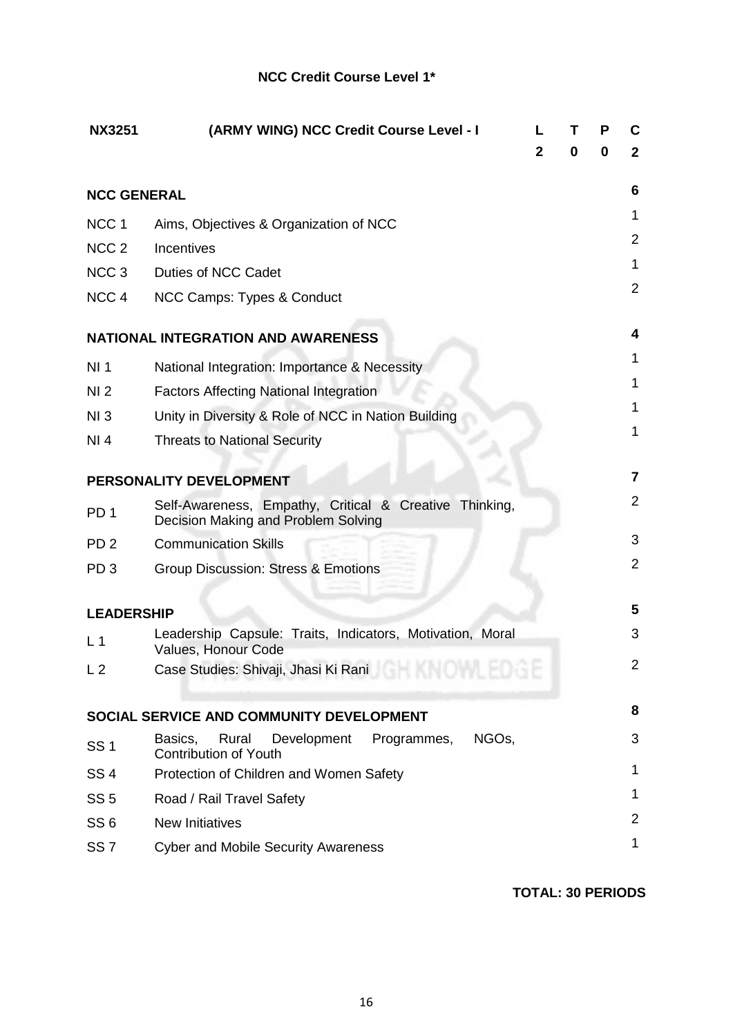# **NCC Credit Course Level 1\***

| <b>NX3251</b>      | (ARMY WING) NCC Credit Course Level - I                                                              |              |   | P | C              |
|--------------------|------------------------------------------------------------------------------------------------------|--------------|---|---|----------------|
|                    |                                                                                                      | $\mathbf{2}$ | 0 | 0 | $\mathbf{2}$   |
| <b>NCC GENERAL</b> |                                                                                                      |              |   |   | 6              |
| NCC <sub>1</sub>   | Aims, Objectives & Organization of NCC                                                               |              |   |   | 1              |
| NCC <sub>2</sub>   | Incentives                                                                                           |              |   |   | $\overline{2}$ |
| NCC <sub>3</sub>   | Duties of NCC Cadet                                                                                  |              |   |   | 1              |
| NCC <sub>4</sub>   | NCC Camps: Types & Conduct                                                                           |              |   |   | $\overline{2}$ |
|                    | <b>NATIONAL INTEGRATION AND AWARENESS</b>                                                            |              |   |   | 4              |
| NI <sub>1</sub>    | National Integration: Importance & Necessity                                                         |              |   |   | 1              |
| NI <sub>2</sub>    | <b>Factors Affecting National Integration</b>                                                        |              |   |   | 1              |
| NI3                | Unity in Diversity & Role of NCC in Nation Building                                                  |              |   |   | 1              |
| NI 4               | <b>Threats to National Security</b>                                                                  |              |   |   | 1              |
|                    |                                                                                                      |              |   |   |                |
|                    | PERSONALITY DEVELOPMENT                                                                              |              |   |   | 7              |
| PD <sub>1</sub>    | Self-Awareness, Empathy, Critical & Creative Thinking,<br>Decision Making and Problem Solving        |              |   |   | $\overline{2}$ |
| PD <sub>2</sub>    | <b>Communication Skills</b>                                                                          |              |   |   | 3              |
| PD <sub>3</sub>    | <b>Group Discussion: Stress &amp; Emotions</b>                                                       |              |   |   | $\overline{2}$ |
|                    |                                                                                                      |              |   |   |                |
| <b>LEADERSHIP</b>  |                                                                                                      |              |   |   | 5              |
| L <sub>1</sub>     | Leadership Capsule: Traits, Indicators, Motivation, Moral<br>Values, Honour Code                     |              |   |   | 3              |
| L <sub>2</sub>     | Case Studies: Shivaji, Jhasi Ki Rani<br>u va teorie                                                  |              |   |   | $\overline{2}$ |
|                    | SOCIAL SERVICE AND COMMUNITY DEVELOPMENT                                                             |              |   |   | 8              |
|                    |                                                                                                      |              |   |   |                |
| <b>SS1</b>         | Development<br>NGO <sub>s</sub> ,<br>Basics,<br>Rural<br>Programmes,<br><b>Contribution of Youth</b> |              |   |   | 3              |
| SS <sub>4</sub>    | Protection of Children and Women Safety                                                              |              |   |   | 1              |
| SS <sub>5</sub>    | Road / Rail Travel Safety                                                                            |              |   |   | 1              |
| SS <sub>6</sub>    | <b>New Initiatives</b>                                                                               |              |   |   | $\overline{2}$ |
| SS <sub>7</sub>    | <b>Cyber and Mobile Security Awareness</b>                                                           |              |   |   | 1              |

**TOTAL: 30 PERIODS**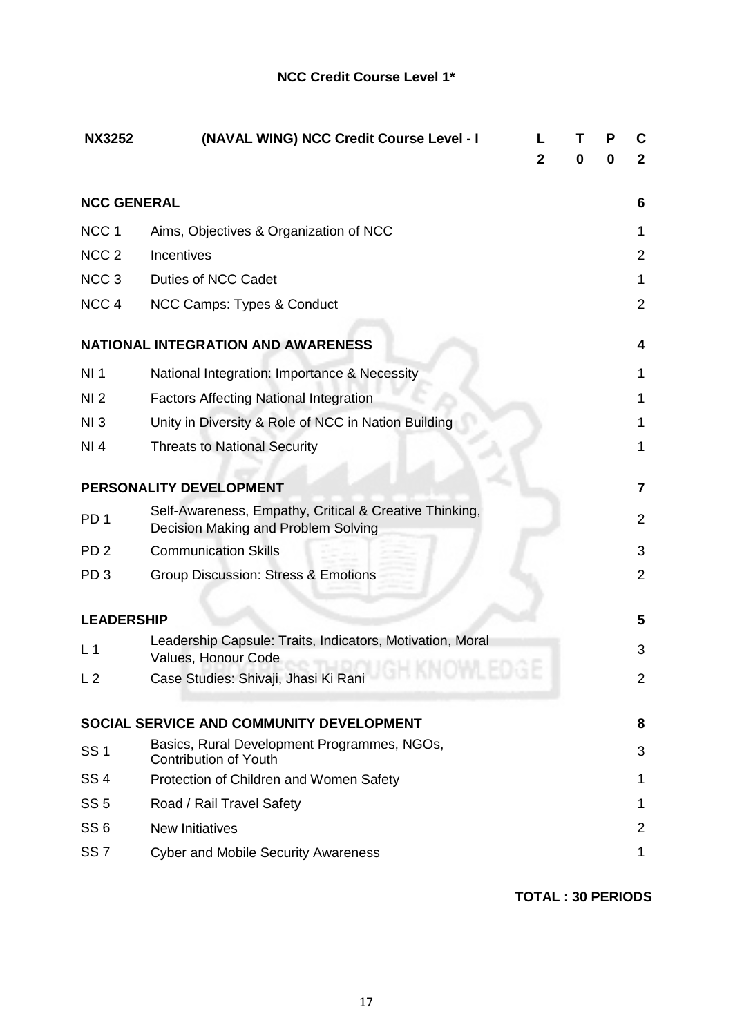| <b>NX3252</b>      | (NAVAL WING) NCC Credit Course Level - I                                                      |   | т<br>0 | P<br>0 | C<br>$\mathbf{2}$       |
|--------------------|-----------------------------------------------------------------------------------------------|---|--------|--------|-------------------------|
|                    |                                                                                               | 2 |        |        |                         |
| <b>NCC GENERAL</b> |                                                                                               |   |        |        | 6                       |
| NCC <sub>1</sub>   | Aims, Objectives & Organization of NCC                                                        |   |        |        | 1                       |
| NCC <sub>2</sub>   | Incentives                                                                                    |   |        |        | 2                       |
| NCC <sub>3</sub>   | <b>Duties of NCC Cadet</b>                                                                    |   |        |        | 1                       |
| NCC <sub>4</sub>   | NCC Camps: Types & Conduct                                                                    |   |        |        | $\overline{2}$          |
|                    | <b>NATIONAL INTEGRATION AND AWARENESS</b>                                                     |   |        |        | 4                       |
| NI <sub>1</sub>    | National Integration: Importance & Necessity                                                  |   |        |        | 1                       |
| NI <sub>2</sub>    | <b>Factors Affecting National Integration</b>                                                 |   |        |        | 1                       |
| NI3                | Unity in Diversity & Role of NCC in Nation Building                                           |   |        |        | 1                       |
| NI 4               | <b>Threats to National Security</b>                                                           |   |        |        | 1                       |
|                    | PERSONALITY DEVELOPMENT                                                                       |   |        |        | $\overline{\mathbf{r}}$ |
| PD <sub>1</sub>    | Self-Awareness, Empathy, Critical & Creative Thinking,<br>Decision Making and Problem Solving |   |        |        | $\overline{2}$          |
| PD <sub>2</sub>    | <b>Communication Skills</b>                                                                   |   |        |        | 3                       |
| PD <sub>3</sub>    | <b>Group Discussion: Stress &amp; Emotions</b>                                                |   |        |        | $\overline{2}$          |
| <b>LEADERSHIP</b>  |                                                                                               |   |        |        | 5                       |
| L <sub>1</sub>     | Leadership Capsule: Traits, Indicators, Motivation, Moral<br>Values, Honour Code              |   |        |        | 3                       |
| L <sub>2</sub>     | Case Studies: Shivaji, Jhasi Ki Rani                                                          |   |        |        | 2                       |
|                    | SOCIAL SERVICE AND COMMUNITY DEVELOPMENT                                                      |   |        |        | 8                       |
| <b>SS1</b>         | Basics, Rural Development Programmes, NGOs,<br><b>Contribution of Youth</b>                   |   |        |        | 3                       |
| <b>SS4</b>         | Protection of Children and Women Safety                                                       |   |        |        | 1                       |
| SS <sub>5</sub>    | Road / Rail Travel Safety                                                                     |   |        |        | 1                       |
| SS <sub>6</sub>    | <b>New Initiatives</b>                                                                        |   |        |        | 2                       |
| SS <sub>7</sub>    | <b>Cyber and Mobile Security Awareness</b>                                                    |   |        |        | 1                       |
|                    |                                                                                               |   |        |        |                         |

**TOTAL : 30 PERIODS**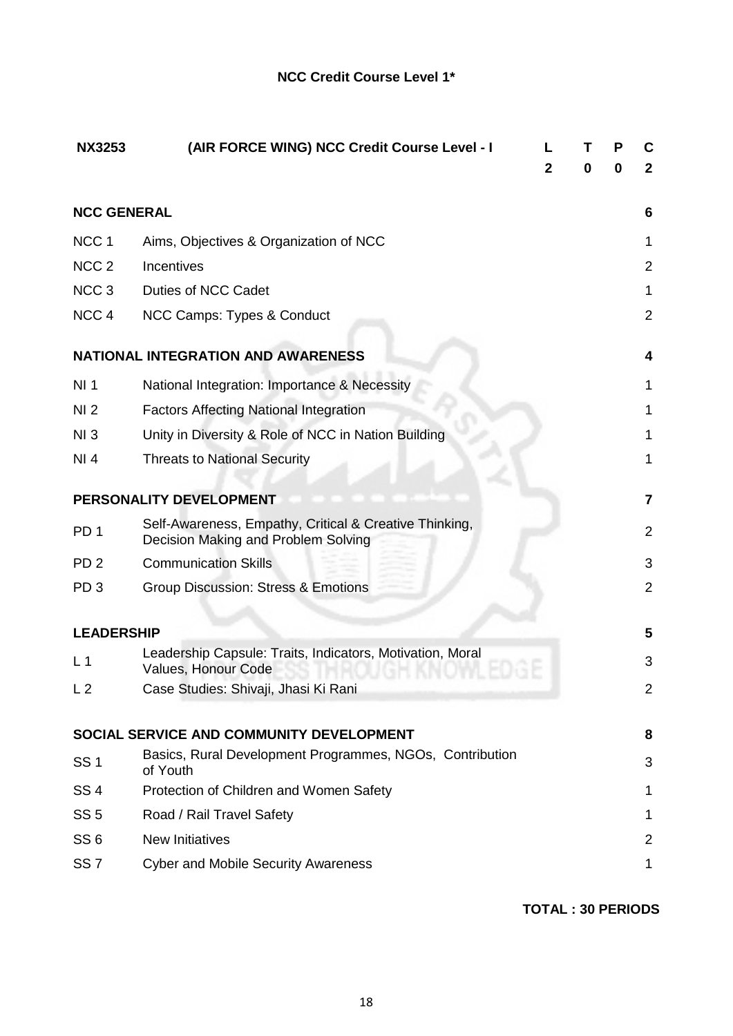| <b>NX3253</b>      | (AIR FORCE WING) NCC Credit Course Level - I                                                  |   |   | Р | C              |
|--------------------|-----------------------------------------------------------------------------------------------|---|---|---|----------------|
|                    |                                                                                               | 2 | 0 | 0 | $\mathbf{2}$   |
| <b>NCC GENERAL</b> |                                                                                               |   |   |   | 6              |
| NCC <sub>1</sub>   | Aims, Objectives & Organization of NCC                                                        |   |   |   | 1              |
| NCC <sub>2</sub>   | Incentives                                                                                    |   |   |   | $\overline{2}$ |
| NCC <sub>3</sub>   | Duties of NCC Cadet                                                                           |   |   |   | 1              |
| NCC <sub>4</sub>   | NCC Camps: Types & Conduct                                                                    |   |   |   | $\overline{2}$ |
|                    | <b>NATIONAL INTEGRATION AND AWARENESS</b>                                                     |   |   |   | 4              |
| NI <sub>1</sub>    | National Integration: Importance & Necessity                                                  |   |   |   | 1              |
| NI <sub>2</sub>    | <b>Factors Affecting National Integration</b>                                                 |   |   |   | 1              |
| NI3                | Unity in Diversity & Role of NCC in Nation Building                                           |   |   |   | 1              |
| NI 4               | <b>Threats to National Security</b>                                                           |   |   |   | 1              |
|                    | PERSONALITY DEVELOPMENT                                                                       |   |   |   | 7              |
| PD <sub>1</sub>    | Self-Awareness, Empathy, Critical & Creative Thinking,<br>Decision Making and Problem Solving |   |   |   | $\overline{2}$ |
| PD <sub>2</sub>    | <b>Communication Skills</b>                                                                   |   |   |   | 3              |
| PD <sub>3</sub>    | Group Discussion: Stress & Emotions                                                           |   |   |   | $\overline{2}$ |
| <b>LEADERSHIP</b>  |                                                                                               |   |   |   | 5              |
| L <sub>1</sub>     | Leadership Capsule: Traits, Indicators, Motivation, Moral<br>Values, Honour Code              |   |   |   | 3              |
| L <sub>2</sub>     | Case Studies: Shivaji, Jhasi Ki Rani                                                          |   |   |   | 2              |
|                    | SOCIAL SERVICE AND COMMUNITY DEVELOPMENT                                                      |   |   |   | 8              |
| <b>SS1</b>         | Basics, Rural Development Programmes, NGOs, Contribution<br>of Youth                          |   |   |   | 3              |
| <b>SS4</b>         | Protection of Children and Women Safety                                                       |   |   |   | 1              |
| SS <sub>5</sub>    | Road / Rail Travel Safety                                                                     |   |   |   | 1              |
| SS <sub>6</sub>    | <b>New Initiatives</b>                                                                        |   |   |   | $\overline{2}$ |
| SS <sub>7</sub>    | <b>Cyber and Mobile Security Awareness</b>                                                    |   |   |   | 1              |

**TOTAL : 30 PERIODS**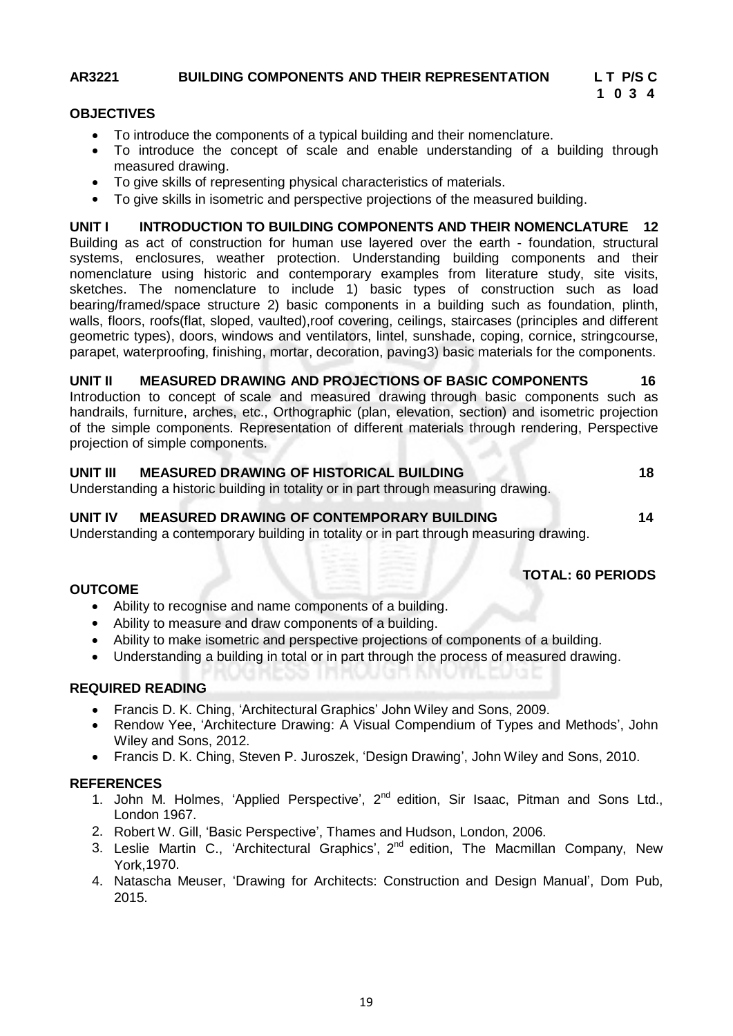# **AR3221 BUILDING COMPONENTS AND THEIR REPRESENTATION L T P/S C**

# **1 0 3 4**

#### **OBJECTIVES**

- To introduce the components of a typical building and their nomenclature.
- To introduce the concept of scale and enable understanding of a building through measured drawing.
- To give skills of representing physical characteristics of materials.
- To give skills in isometric and perspective projections of the measured building.

**UNIT I INTRODUCTION TO BUILDING COMPONENTS AND THEIR NOMENCLATURE 12** Building as act of construction for human use layered over the earth - foundation, structural systems, enclosures, weather protection. Understanding building components and their nomenclature using historic and contemporary examples from literature study, site visits, sketches. The nomenclature to include 1) basic types of construction such as load bearing/framed/space structure 2) basic components in a building such as foundation, plinth, walls, floors, roofs(flat, sloped, vaulted),roof covering, ceilings, staircases (principles and different geometric types), doors, windows and ventilators, lintel, sunshade, coping, cornice, stringcourse, parapet, waterproofing, finishing, mortar, decoration, paving3) basic materials for the components.

#### **UNIT II MEASURED DRAWING AND PROJECTIONS OF BASIC COMPONENTS 16**

Introduction to concept of scale and measured drawing through basic components such as handrails, furniture, arches, etc., Orthographic (plan, elevation, section) and isometric projection of the simple components. Representation of different materials through rendering, Perspective projection of simple components.

# **UNIT III MEASURED DRAWING OF HISTORICAL BUILDING 18**

Understanding a historic building in totality or in part through measuring drawing.

#### **UNIT IV MEASURED DRAWING OF CONTEMPORARY BUILDING 14**

Understanding a contemporary building in totality or in part through measuring drawing.

### **TOTAL: 60 PERIODS**

#### **OUTCOME**

- Ability to recognise and name components of a building.
- Ability to measure and draw components of a building.
- Ability to make isometric and perspective projections of components of a building.
- Understanding a building in total or in part through the process of measured drawing.

### **REQUIRED READING**

- Francis D. K. Ching, 'Architectural Graphics' John Wiley and Sons, 2009.
- Rendow Yee, 'Architecture Drawing: A Visual Compendium of Types and Methods', John Wiley and Sons, 2012.
- Francis D. K. Ching, Steven P. Juroszek, 'Design Drawing', John Wiley and Sons, 2010.

- 1. John M. Holmes, 'Applied Perspective', 2<sup>nd</sup> edition, Sir Isaac, Pitman and Sons Ltd., London 1967.
- 2. Robert W. Gill, 'Basic Perspective', Thames and Hudson, London, 2006.
- 3. Leslie Martin C., 'Architectural Graphics', 2<sup>nd</sup> edition, The Macmillan Company, New York,1970.
- 4. Natascha Meuser, 'Drawing for Architects: Construction and Design Manual', Dom Pub, 2015.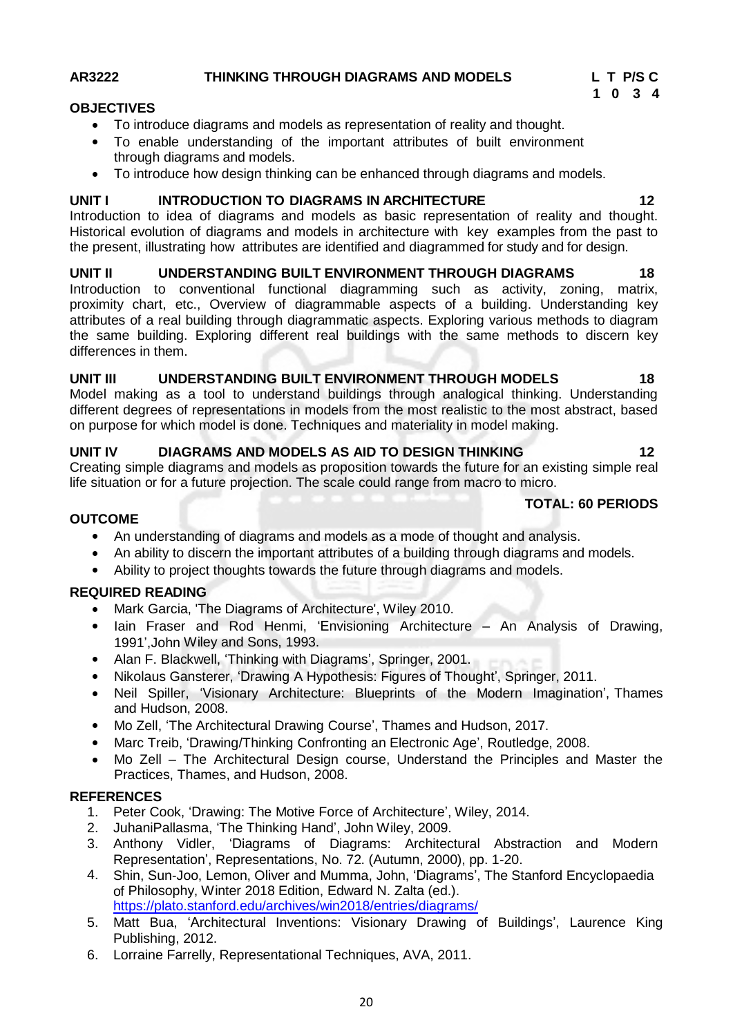# **AR3222 THINKING THROUGH DIAGRAMS AND MODELS L T P/S C**

# **OBJECTIVES**

- To introduce diagrams and models as representation of reality and thought.
- To enable understanding of the important attributes of built environment through diagrams and models.
- To introduce how design thinking can be enhanced through diagrams and models.

# **UNIT I INTRODUCTION TO DIAGRAMS IN ARCHITECTURE 12**

Introduction to idea of diagrams and models as basic representation of reality and thought. Historical evolution of diagrams and models in architecture with key examples from the past to the present, illustrating how attributes are identified and diagrammed for study and for design.

# **UNIT II UNDERSTANDING BUILT ENVIRONMENT THROUGH DIAGRAMS 18**

Introduction to conventional functional diagramming such as activity, zoning, matrix, proximity chart, etc., Overview of diagrammable aspects of a building. Understanding key attributes of a real building through diagrammatic aspects. Exploring various methods to diagram the same building. Exploring different real buildings with the same methods to discern key differences in them.

# **UNIT III UNDERSTANDING BUILT ENVIRONMENT THROUGH MODELS 18**

Model making as a tool to understand buildings through analogical thinking. Understanding different degrees of representations in models from the most realistic to the most abstract, based on purpose for which model is done. Techniques and materiality in model making.

# **UNIT IV DIAGRAMS AND MODELS AS AID TO DESIGN THINKING 12**

Creating simple diagrams and models as proposition towards the future for an existing simple real life situation or for a future projection. The scale could range from macro to micro.

- An understanding of diagrams and models as a mode of thought and analysis.
- An ability to discern the important attributes of a building through diagrams and models.
- Ability to project thoughts towards the future through diagrams and models.

# **REQUIRED READING**

**OUTCOME**

- Mark Garcia, 'The Diagrams of Architecture', Wiley 2010.
- Iain Fraser and Rod Henmi, 'Envisioning Architecture An Analysis of Drawing, 1991',John Wiley and Sons, 1993.
- Alan F. Blackwell, 'Thinking with Diagrams', Springer, 2001.
- Nikolaus Gansterer, 'Drawing A Hypothesis: Figures of Thought', Springer, 2011.
- Neil Spiller, 'Visionary Architecture: Blueprints of the Modern Imagination', Thames and Hudson, 2008.
- Mo Zell, 'The Architectural Drawing Course', Thames and Hudson, 2017.
- Marc Treib, 'Drawing/Thinking Confronting an Electronic Age', Routledge, 2008.
- Mo Zell The Architectural Design course, Understand the Principles and Master the Practices, Thames, and Hudson, 2008.

# **REFERENCES**

- 1. Peter Cook, 'Drawing: The Motive Force of Architecture', Wiley, 2014.
- 2. JuhaniPallasma, 'The Thinking Hand', John Wiley, 2009.
- 3. Anthony Vidler, 'Diagrams of Diagrams: Architectural Abstraction and Modern Representation', Representations, No. 72. (Autumn, 2000), pp. 1-20.
- 4. Shin, Sun-Joo, Lemon, Oliver and Mumma, John, 'Diagrams', The Stanford Encyclopaedia of Philosophy, Winter 2018 Edition, Edward N. Zalta (ed.). https://plato.stanford.edu/archives/win2018/entries/diagrams/
- 5. Matt Bua, 'Architectural Inventions: Visionary Drawing of Buildings', Laurence King Publishing, 2012.
- 6. Lorraine Farrelly, Representational Techniques, AVA, 2011.

# **TOTAL: 60 PERIODS**